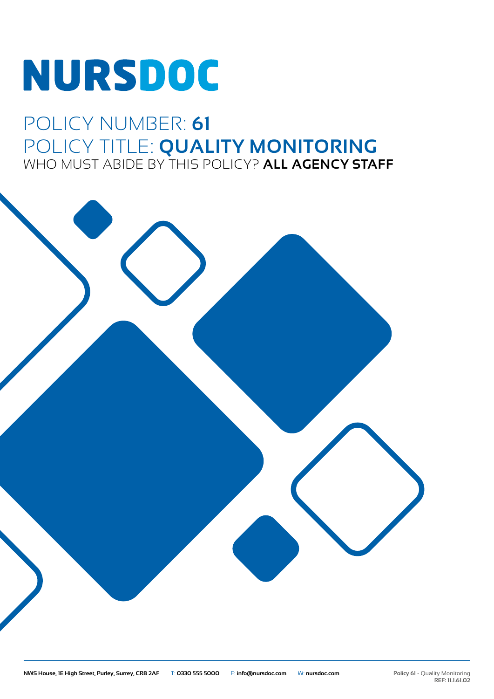# NURSDOC

## POLICY NUMBER: **61** POLICY TITLE: **QUALITY MONITORING** WHO MUST ABIDE BY THIS POLICY? **ALL AGENCY STAFF**

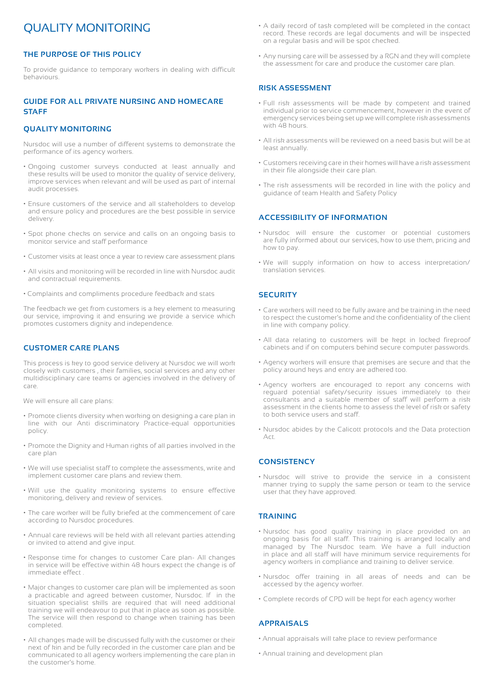### QUALITY MONITORING

#### **THE PURPOSE OF THIS POLICY**

To provide guidance to temporary workers in dealing with difficult behaviours.

#### **GUIDE FOR ALL PRIVATE NURSING AND HOMECARE STAFF**

#### **QUALITY MONITORING**

Nursdoc will use a number of different systems to demonstrate the performance of its agency workers.

- Ongoing customer surveys conducted at least annually and these results will be used to monitor the quality of service delivery, improve services when relevant and will be used as part of internal audit processes.
- Ensure customers of the service and all stakeholders to develop and ensure policy and procedures are the best possible in service delivery.
- Spot phone checks on service and calls on an ongoing basis to monitor service and staff performance
- Customer visits at least once a year to review care assessment plans
- All visits and monitoring will be recorded in line with Nursdoc audit and contractual requirements.
- Complaints and compliments procedure feedback and stats

The feedback we get from customers is a key element to measuring our service, improving it and ensuring we provide a service which promotes customers dignity and independence.

#### **CUSTOMER CARE PLANS**

This process is key to good service delivery at Nursdoc we will work closely with customers , their families, social services and any other multidisciplinary care teams or agencies involved in the delivery of care.

We will ensure all care plans:

- Promote clients diversity when working on designing a care plan in line with our Anti discriminatory Practice-equal opportunities policy.
- Promote the Dignity and Human rights of all parties involved in the care plan
- We will use specialist staff to complete the assessments, write and implement customer care plans and review them.
- Will use the quality monitoring systems to ensure effective monitoring, delivery and review of services.
- The care worker will be fully briefed at the commencement of care according to Nursdoc procedures.
- Annual care reviews will be held with all relevant parties attending or invited to attend and give input.
- Response time for changes to customer Care plan- All changes in service will be effective within 48 hours expect the change is of immediate effect .
- Major changes to customer care plan will be implemented as soon a practicable and agreed between customer, Nursdoc. If in the situation specialist skills are required that will need additional training we will endeavour to put that in place as soon as possible. The service will then respond to change when training has been completed.
- All changes made will be discussed fully with the customer or their next of kin and be fully recorded in the customer care plan and be communicated to all agency workers implementing the care plan in the customer's home.
- A daily record of task completed will be completed in the contact record. These records are legal documents and will be inspected on a regular basis and will be spot checked.
- Any nursing care will be assessed by a RGN and they will complete the assessment for care and produce the customer care plan.

#### **RISK ASSESSMENT**

- Full risk assessments will be made by competent and trained individual prior to service commencement, however in the event of emergency services being set up we will complete risk assessments with 48 hours.
- All risk assessments will be reviewed on a need basis but will be at least annually.
- Customers receiving care in their homes will have a risk assessment in their file alongside their care plan.
- The risk assessments will be recorded in line with the policy and guidance of team Health and Safety Policy

#### **ACCESSIBILITY OF INFORMATION**

- Nursdoc will ensure the customer or potential customers are fully informed about our services, how to use them, pricing and how to pay.
- We will supply information on how to access interpretation/ translation services.

#### **SECURITY**

- Care workers will need to be fully aware and be training in the need to respect the customer's home and the confidentiality of the client in line with company policy.
- All data relating to customers will be kept in locked fireproof cabinets and if on computers behind secure computer passwords.
- Agency workers will ensure that premises are secure and that the policy around keys and entry are adhered too.
- Agency workers are encouraged to report any concerns with reguard potential safety/security issues immediately to their consultants and a suitable member of staff will perform a risk assessment in the clients home to assess the level of risk or safety to both service users and staff.
- Nursdoc abides by the Calicott protocols and the Data protection Act.

#### **CONSISTENCY**

• Nursdoc will strive to provide the service in a consistent manner trying to supply the same person or team to the service user that they have approved.

#### **TRAINING**

- Nursdoc has good quality training in place provided on an ongoing basis for all staff. This training is arranged locally and managed by The Nursdoc team. We have a full induction in place and all staff will have minimum service requirements for agency workers in compliance and training to deliver service.
- Nursdoc offer training in all areas of needs and can be accessed by the agency worker.
- Complete records of CPD will be kept for each agency worker

#### **APPRAISALS**

- Annual appraisals will take place to review performance
- Annual training and development plan